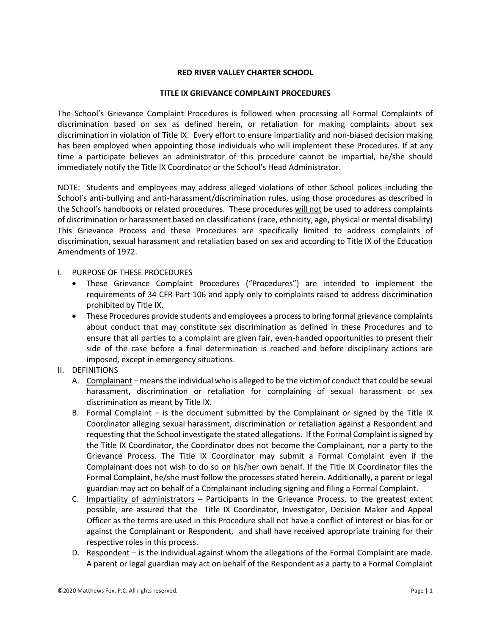### **RED RIVER VALLEY CHARTER SCHOOL**

### **TITLE IX GRIEVANCE COMPLAINT PROCEDURES**

The School's Grievance Complaint Procedures is followed when processing all Formal Complaints of discrimination based on sex as defined herein, or retaliation for making complaints about sex discrimination in violation of Title IX. Every effort to ensure impartiality and non-biased decision making has been employed when appointing those individuals who will implement these Procedures. If at any time a participate believes an administrator of this procedure cannot be impartial, he/she should immediately notify the Title IX Coordinator or the School's Head Administrator.

NOTE: Students and employees may address alleged violations of other School polices including the School's anti-bullying and anti-harassment/discrimination rules, using those procedures as described in the School's handbooks or related procedures. These procedures will not be used to address complaints of discrimination or harassment based on classifications (race, ethnicity, age, physical or mental disability) This Grievance Process and these Procedures are specifically limited to address complaints of discrimination, sexual harassment and retaliation based on sex and according to Title IX of the Education Amendments of 1972.

### I. PURPOSE OF THESE PROCEDURES

- These Grievance Complaint Procedures ("Procedures") are intended to implement the requirements of 34 CFR Part 106 and apply only to complaints raised to address discrimination prohibited by Title IX.
- These Procedures provide students and employees a process to bring formal grievance complaints about conduct that may constitute sex discrimination as defined in these Procedures and to ensure that all parties to a complaint are given fair, even-handed opportunities to present their side of the case before a final determination is reached and before disciplinary actions are imposed, except in emergency situations.

### II. DEFINITIONS

- A. Complainant means the individual who is alleged to be the victim of conduct that could be sexual harassment, discrimination or retaliation for complaining of sexual harassment or sex discrimination as meant by Title IX.
- B. Formal Complaint is the document submitted by the Complainant or signed by the Title IX Coordinator alleging sexual harassment, discrimination or retaliation against a Respondent and requesting that the School investigate the stated allegations. If the Formal Complaint is signed by the Title IX Coordinator, the Coordinator does not become the Complainant, nor a party to the Grievance Process. The Title IX Coordinator may submit a Formal Complaint even if the Complainant does not wish to do so on his/her own behalf. If the Title IX Coordinator files the Formal Complaint, he/she must follow the processes stated herein. Additionally, a parent or legal guardian may act on behalf of a Complainant including signing and filing a Formal Complaint.
- C. Impartiality of administrators Participants in the Grievance Process, to the greatest extent possible, are assured that the Title IX Coordinator, Investigator, Decision Maker and Appeal Officer as the terms are used in this Procedure shall not have a conflict of interest or bias for or against the Complainant or Respondent, and shall have received appropriate training for their respective roles in this process.
- D. Respondent is the individual against whom the allegations of the Formal Complaint are made. A parent or legal guardian may act on behalf of the Respondent as a party to a Formal Complaint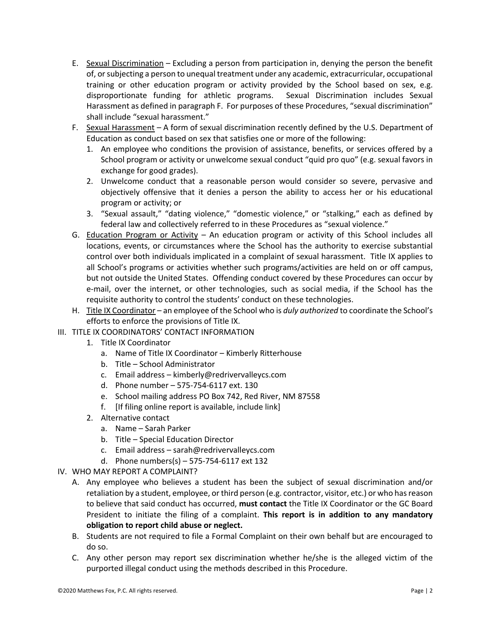- E. Sexual Discrimination Excluding a person from participation in, denying the person the benefit of, or subjecting a person to unequal treatment under any academic, extracurricular, occupational training or other education program or activity provided by the School based on sex, e.g. disproportionate funding for athletic programs. Sexual Discrimination includes Sexual Harassment as defined in paragraph F. For purposes of these Procedures, "sexual discrimination" shall include "sexual harassment."
- F. Sexual Harassment A form of sexual discrimination recently defined by the U.S. Department of Education as conduct based on sex that satisfies one or more of the following:
	- 1. An employee who conditions the provision of assistance, benefits, or services offered by a School program or activity or unwelcome sexual conduct "quid pro quo" (e.g. sexual favors in exchange for good grades).
	- 2. Unwelcome conduct that a reasonable person would consider so severe, pervasive and objectively offensive that it denies a person the ability to access her or his educational program or activity; or
	- 3. "Sexual assault," "dating violence," "domestic violence," or "stalking," each as defined by federal law and collectively referred to in these Procedures as "sexual violence."
- G. Education Program or Activity An education program or activity of this School includes all locations, events, or circumstances where the School has the authority to exercise substantial control over both individuals implicated in a complaint of sexual harassment. Title IX applies to all School's programs or activities whether such programs/activities are held on or off campus, but not outside the United States. Offending conduct covered by these Procedures can occur by e-mail, over the internet, or other technologies, such as social media, if the School has the requisite authority to control the students' conduct on these technologies.
- H. Title IX Coordinator an employee of the School who is *duly authorized* to coordinate the School's efforts to enforce the provisions of Title IX.
- III. TITLE IX COORDINATORS' CONTACT INFORMATION
	- 1. Title IX Coordinator
		- a. Name of Title IX Coordinator Kimberly Ritterhouse
		- b. Title School Administrator
		- c. Email address kimberly@redrivervalleycs.com
		- d. Phone number 575-754-6117 ext. 130
		- e. School mailing address PO Box 742, Red River, NM 87558
		- f. [If filing online report is available, include link]
	- 2. Alternative contact
		- a. Name Sarah Parker
		- b. Title Special Education Director
		- c. Email address sarah@redrivervalleycs.com
		- d. Phone numbers(s) 575-754-6117 ext 132
- IV. WHO MAY REPORT A COMPLAINT?
	- A. Any employee who believes a student has been the subject of sexual discrimination and/or retaliation by a student, employee, or third person (e.g. contractor, visitor, etc.) or who has reason to believe that said conduct has occurred, **must contact** the Title IX Coordinator or the GC Board President to initiate the filing of a complaint. **This report is in addition to any mandatory obligation to report child abuse or neglect.**
	- B. Students are not required to file a Formal Complaint on their own behalf but are encouraged to do so.
	- C. Any other person may report sex discrimination whether he/she is the alleged victim of the purported illegal conduct using the methods described in this Procedure.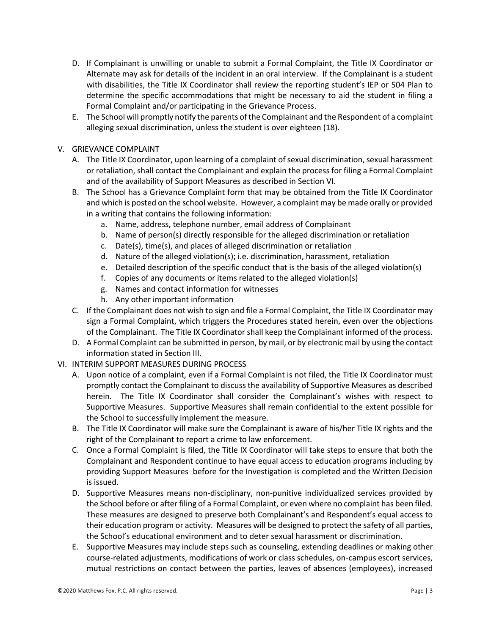- D. If Complainant is unwilling or unable to submit a Formal Complaint, the Title IX Coordinator or Alternate may ask for details of the incident in an oral interview. If the Complainant is a student with disabilities, the Title IX Coordinator shall review the reporting student's IEP or 504 Plan to determine the specific accommodations that might be necessary to aid the student in filing a Formal Complaint and/or participating in the Grievance Process.
- E. The School will promptly notify the parents of the Complainant and the Respondent of a complaint alleging sexual discrimination, unless the student is over eighteen (18).

## V. GRIEVANCE COMPLAINT

- A. The Title IX Coordinator, upon learning of a complaint of sexual discrimination, sexual harassment or retaliation, shall contact the Complainant and explain the process for filing a Formal Complaint and of the availability of Support Measures as described in Section VI.
- B. The School has a Grievance Complaint form that may be obtained from the Title IX Coordinator and which is posted on the school website. However, a complaint may be made orally or provided in a writing that contains the following information:
	- a. Name, address, telephone number, email address of Complainant
	- b. Name of person(s) directly responsible for the alleged discrimination or retaliation
	- c. Date(s), time(s), and places of alleged discrimination or retaliation
	- d. Nature of the alleged violation(s); i.e. discrimination, harassment, retaliation
	- e. Detailed description of the specific conduct that is the basis of the alleged violation(s)
	- f. Copies of any documents or items related to the alleged violation(s)
	- g. Names and contact information for witnesses
	- h. Any other important information
- C. If the Complainant does not wish to sign and file a Formal Complaint, the Title IX Coordinator may sign a Formal Complaint, which triggers the Procedures stated herein, even over the objections of the Complainant. The Title IX Coordinator shall keep the Complainant informed of the process.
- D. A Formal Complaint can be submitted in person, by mail, or by electronic mail by using the contact information stated in Section III.
- VI. INTERIM SUPPORT MEASURES DURING PROCESS
	- A. Upon notice of a complaint, even if a Formal Complaint is not filed, the Title IX Coordinator must promptly contact the Complainant to discuss the availability of Supportive Measures as described herein. The Title IX Coordinator shall consider the Complainant's wishes with respect to Supportive Measures. Supportive Measures shall remain confidential to the extent possible for the School to successfully implement the measure.
	- B. The Title IX Coordinator will make sure the Complainant is aware of his/her Title IX rights and the right of the Complainant to report a crime to law enforcement.
	- C. Once a Formal Complaint is filed, the Title IX Coordinator will take steps to ensure that both the Complainant and Respondent continue to have equal access to education programs including by providing Support Measures before for the Investigation is completed and the Written Decision is issued.
	- D. Supportive Measures means non-disciplinary, non-punitive individualized services provided by the School before or after filing of a Formal Complaint, or even where no complaint has been filed. These measures are designed to preserve both Complainant's and Respondent's equal access to their education program or activity. Measures will be designed to protect the safety of all parties, the School's educational environment and to deter sexual harassment or discrimination.
	- E. Supportive Measures may include steps such as counseling, extending deadlines or making other course-related adjustments, modifications of work or class schedules, on-campus escort services, mutual restrictions on contact between the parties, leaves of absences (employees), increased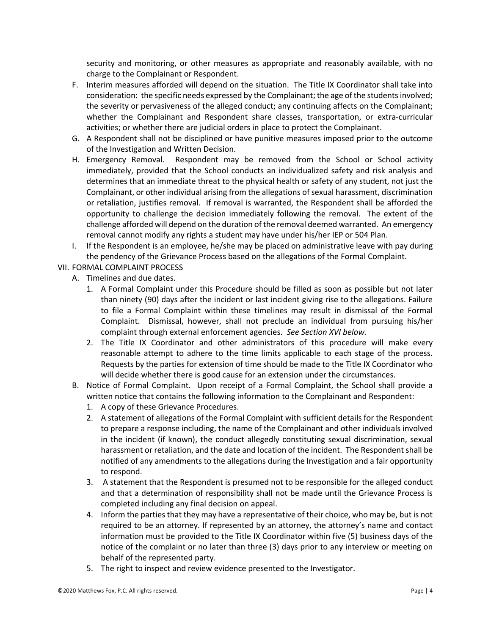security and monitoring, or other measures as appropriate and reasonably available, with no charge to the Complainant or Respondent.

- F. Interim measures afforded will depend on the situation. The Title IX Coordinator shall take into consideration: the specific needs expressed by the Complainant; the age of the students involved; the severity or pervasiveness of the alleged conduct; any continuing affects on the Complainant; whether the Complainant and Respondent share classes, transportation, or extra-curricular activities; or whether there are judicial orders in place to protect the Complainant.
- G. A Respondent shall not be disciplined or have punitive measures imposed prior to the outcome of the Investigation and Written Decision.
- H. Emergency Removal. Respondent may be removed from the School or School activity immediately, provided that the School conducts an individualized safety and risk analysis and determines that an immediate threat to the physical health or safety of any student, not just the Complainant, or other individual arising from the allegations of sexual harassment, discrimination or retaliation, justifies removal. If removal is warranted, the Respondent shall be afforded the opportunity to challenge the decision immediately following the removal. The extent of the challenge afforded will depend on the duration of the removal deemed warranted. An emergency removal cannot modify any rights a student may have under his/her IEP or 504 Plan.
- I. If the Respondent is an employee, he/she may be placed on administrative leave with pay during the pendency of the Grievance Process based on the allegations of the Formal Complaint.
- VII. FORMAL COMPLAINT PROCESS
	- A. Timelines and due dates.
		- 1. A Formal Complaint under this Procedure should be filled as soon as possible but not later than ninety (90) days after the incident or last incident giving rise to the allegations. Failure to file a Formal Complaint within these timelines may result in dismissal of the Formal Complaint. Dismissal, however, shall not preclude an individual from pursuing his/her complaint through external enforcement agencies. *See Section XVI below.*
		- 2. The Title IX Coordinator and other administrators of this procedure will make every reasonable attempt to adhere to the time limits applicable to each stage of the process. Requests by the parties for extension of time should be made to the Title IX Coordinator who will decide whether there is good cause for an extension under the circumstances.
	- B. Notice of Formal Complaint. Upon receipt of a Formal Complaint, the School shall provide a written notice that contains the following information to the Complainant and Respondent:
		- 1. A copy of these Grievance Procedures.
		- 2. A statement of allegations of the Formal Complaint with sufficient details for the Respondent to prepare a response including, the name of the Complainant and other individuals involved in the incident (if known), the conduct allegedly constituting sexual discrimination, sexual harassment or retaliation, and the date and location of the incident. The Respondent shall be notified of any amendments to the allegations during the Investigation and a fair opportunity to respond.
		- 3. A statement that the Respondent is presumed not to be responsible for the alleged conduct and that a determination of responsibility shall not be made until the Grievance Process is completed including any final decision on appeal.
		- 4. Inform the parties that they may have a representative of their choice, who may be, but is not required to be an attorney. If represented by an attorney, the attorney's name and contact information must be provided to the Title IX Coordinator within five (5) business days of the notice of the complaint or no later than three (3) days prior to any interview or meeting on behalf of the represented party.
		- 5. The right to inspect and review evidence presented to the Investigator.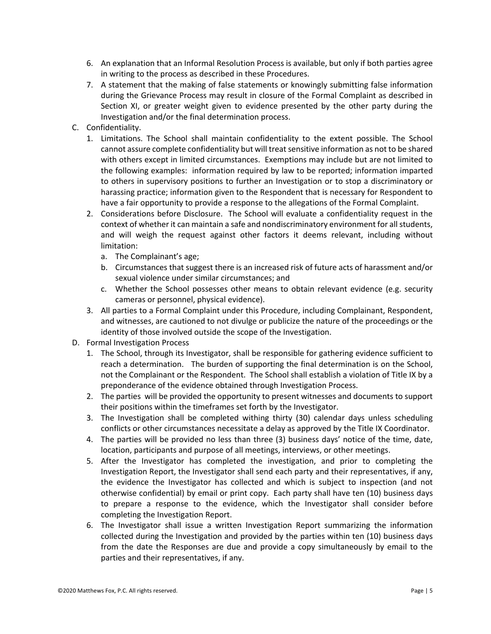- 6. An explanation that an Informal Resolution Process is available, but only if both parties agree in writing to the process as described in these Procedures.
- 7. A statement that the making of false statements or knowingly submitting false information during the Grievance Process may result in closure of the Formal Complaint as described in Section XI, or greater weight given to evidence presented by the other party during the Investigation and/or the final determination process.
- C. Confidentiality.
	- 1. Limitations. The School shall maintain confidentiality to the extent possible. The School cannot assure complete confidentiality but will treat sensitive information as not to be shared with others except in limited circumstances. Exemptions may include but are not limited to the following examples: information required by law to be reported; information imparted to others in supervisory positions to further an Investigation or to stop a discriminatory or harassing practice; information given to the Respondent that is necessary for Respondent to have a fair opportunity to provide a response to the allegations of the Formal Complaint.
	- 2. Considerations before Disclosure. The School will evaluate a confidentiality request in the context of whether it can maintain a safe and nondiscriminatory environment for all students, and will weigh the request against other factors it deems relevant, including without limitation:
		- a. The Complainant's age;
		- b. Circumstances that suggest there is an increased risk of future acts of harassment and/or sexual violence under similar circumstances; and
		- c. Whether the School possesses other means to obtain relevant evidence (e.g. security cameras or personnel, physical evidence).
	- 3. All parties to a Formal Complaint under this Procedure, including Complainant, Respondent, and witnesses, are cautioned to not divulge or publicize the nature of the proceedings or the identity of those involved outside the scope of the Investigation.
- D. Formal Investigation Process
	- 1. The School, through its Investigator, shall be responsible for gathering evidence sufficient to reach a determination. The burden of supporting the final determination is on the School, not the Complainant or the Respondent. The School shall establish a violation of Title IX by a preponderance of the evidence obtained through Investigation Process.
	- 2. The parties will be provided the opportunity to present witnesses and documents to support their positions within the timeframes set forth by the Investigator.
	- 3. The Investigation shall be completed withing thirty (30) calendar days unless scheduling conflicts or other circumstances necessitate a delay as approved by the Title IX Coordinator.
	- 4. The parties will be provided no less than three (3) business days' notice of the time, date, location, participants and purpose of all meetings, interviews, or other meetings.
	- 5. After the Investigator has completed the investigation, and prior to completing the Investigation Report, the Investigator shall send each party and their representatives, if any, the evidence the Investigator has collected and which is subject to inspection (and not otherwise confidential) by email or print copy. Each party shall have ten (10) business days to prepare a response to the evidence, which the Investigator shall consider before completing the Investigation Report.
	- 6. The Investigator shall issue a written Investigation Report summarizing the information collected during the Investigation and provided by the parties within ten (10) business days from the date the Responses are due and provide a copy simultaneously by email to the parties and their representatives, if any.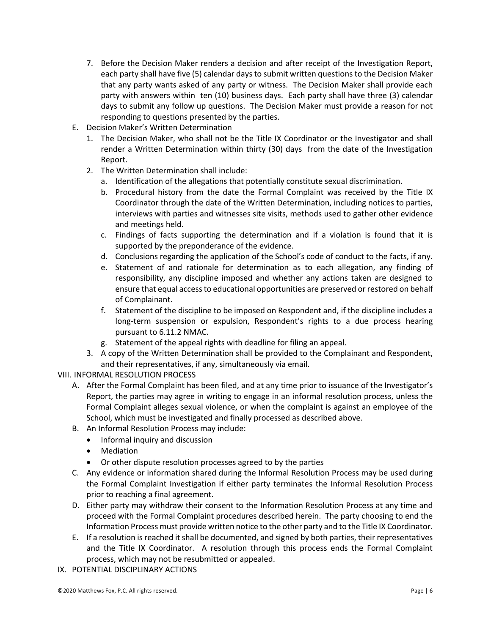- 7. Before the Decision Maker renders a decision and after receipt of the Investigation Report, each party shall have five (5) calendar days to submit written questions to the Decision Maker that any party wants asked of any party or witness. The Decision Maker shall provide each party with answers within ten (10) business days. Each party shall have three (3) calendar days to submit any follow up questions. The Decision Maker must provide a reason for not responding to questions presented by the parties.
- E. Decision Maker's Written Determination
	- 1. The Decision Maker, who shall not be the Title IX Coordinator or the Investigator and shall render a Written Determination within thirty (30) days from the date of the Investigation Report.
	- 2. The Written Determination shall include:
		- a. Identification of the allegations that potentially constitute sexual discrimination.
		- b. Procedural history from the date the Formal Complaint was received by the Title IX Coordinator through the date of the Written Determination, including notices to parties, interviews with parties and witnesses site visits, methods used to gather other evidence and meetings held.
		- c. Findings of facts supporting the determination and if a violation is found that it is supported by the preponderance of the evidence.
		- d. Conclusions regarding the application of the School's code of conduct to the facts, if any.
		- e. Statement of and rationale for determination as to each allegation, any finding of responsibility, any discipline imposed and whether any actions taken are designed to ensure that equal access to educational opportunities are preserved or restored on behalf of Complainant.
		- f. Statement of the discipline to be imposed on Respondent and, if the discipline includes a long-term suspension or expulsion, Respondent's rights to a due process hearing pursuant to 6.11.2 NMAC.
		- g. Statement of the appeal rights with deadline for filing an appeal.
	- 3. A copy of the Written Determination shall be provided to the Complainant and Respondent, and their representatives, if any, simultaneously via email.

VIII. INFORMAL RESOLUTION PROCESS

- A. After the Formal Complaint has been filed, and at any time prior to issuance of the Investigator's Report, the parties may agree in writing to engage in an informal resolution process, unless the Formal Complaint alleges sexual violence, or when the complaint is against an employee of the School, which must be investigated and finally processed as described above.
- B. An Informal Resolution Process may include:
	- Informal inquiry and discussion
	- Mediation
	- Or other dispute resolution processes agreed to by the parties
- C. Any evidence or information shared during the Informal Resolution Process may be used during the Formal Complaint Investigation if either party terminates the Informal Resolution Process prior to reaching a final agreement.
- D. Either party may withdraw their consent to the Information Resolution Process at any time and proceed with the Formal Complaint procedures described herein. The party choosing to end the Information Process must provide written notice to the other party and to the Title IX Coordinator.
- E. If a resolution is reached it shall be documented, and signed by both parties, their representatives and the Title IX Coordinator. A resolution through this process ends the Formal Complaint process, which may not be resubmitted or appealed.
- IX. POTENTIAL DISCIPLINARY ACTIONS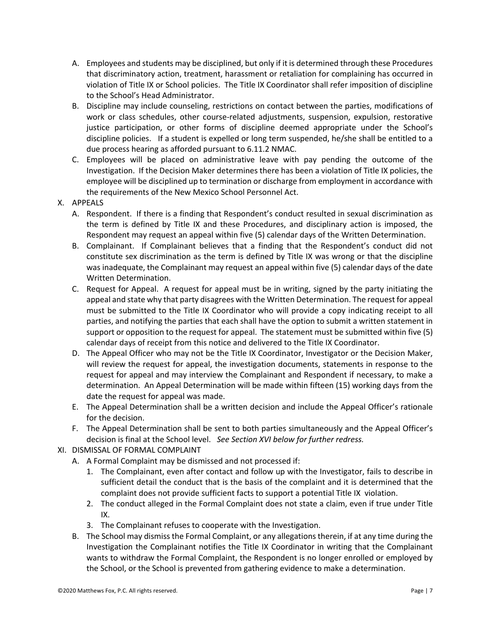- A. Employees and students may be disciplined, but only if it is determined through these Procedures that discriminatory action, treatment, harassment or retaliation for complaining has occurred in violation of Title IX or School policies. The Title IX Coordinator shall refer imposition of discipline to the School's Head Administrator.
- B. Discipline may include counseling, restrictions on contact between the parties, modifications of work or class schedules, other course-related adjustments, suspension, expulsion, restorative justice participation, or other forms of discipline deemed appropriate under the School's discipline policies. If a student is expelled or long term suspended, he/she shall be entitled to a due process hearing as afforded pursuant to 6.11.2 NMAC.
- C. Employees will be placed on administrative leave with pay pending the outcome of the Investigation. If the Decision Maker determines there has been a violation of Title IX policies, the employee will be disciplined up to termination or discharge from employment in accordance with the requirements of the New Mexico School Personnel Act.
- X. APPEALS
	- A. Respondent. If there is a finding that Respondent's conduct resulted in sexual discrimination as the term is defined by Title IX and these Procedures, and disciplinary action is imposed, the Respondent may request an appeal within five (5) calendar days of the Written Determination.
	- B. Complainant. If Complainant believes that a finding that the Respondent's conduct did not constitute sex discrimination as the term is defined by Title IX was wrong or that the discipline was inadequate, the Complainant may request an appeal within five (5) calendar days of the date Written Determination.
	- C. Request for Appeal. A request for appeal must be in writing, signed by the party initiating the appeal and state why that party disagrees with the Written Determination. The request for appeal must be submitted to the Title IX Coordinator who will provide a copy indicating receipt to all parties, and notifying the parties that each shall have the option to submit a written statement in support or opposition to the request for appeal. The statement must be submitted within five (5) calendar days of receipt from this notice and delivered to the Title IX Coordinator.
	- D. The Appeal Officer who may not be the Title IX Coordinator, Investigator or the Decision Maker, will review the request for appeal, the investigation documents, statements in response to the request for appeal and may interview the Complainant and Respondent if necessary, to make a determination. An Appeal Determination will be made within fifteen (15) working days from the date the request for appeal was made.
	- E. The Appeal Determination shall be a written decision and include the Appeal Officer's rationale for the decision.
	- F. The Appeal Determination shall be sent to both parties simultaneously and the Appeal Officer's decision is final at the School level. *See Section XVI below for further redress.*
- XI. DISMISSAL OF FORMAL COMPLAINT
	- A. A Formal Complaint may be dismissed and not processed if:
		- 1. The Complainant, even after contact and follow up with the Investigator, fails to describe in sufficient detail the conduct that is the basis of the complaint and it is determined that the complaint does not provide sufficient facts to support a potential Title IX violation.
		- 2. The conduct alleged in the Formal Complaint does not state a claim, even if true under Title IX.
		- 3. The Complainant refuses to cooperate with the Investigation.
	- B. The School may dismiss the Formal Complaint, or any allegations therein, if at any time during the Investigation the Complainant notifies the Title IX Coordinator in writing that the Complainant wants to withdraw the Formal Complaint, the Respondent is no longer enrolled or employed by the School, or the School is prevented from gathering evidence to make a determination.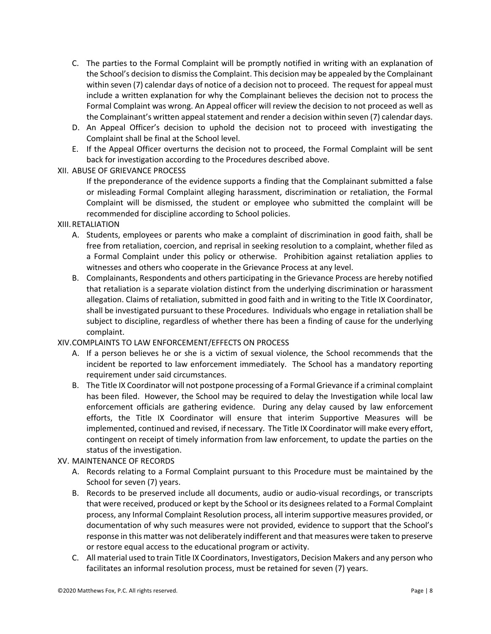- C. The parties to the Formal Complaint will be promptly notified in writing with an explanation of the School's decision to dismiss the Complaint. This decision may be appealed by the Complainant within seven (7) calendar days of notice of a decision not to proceed. The request for appeal must include a written explanation for why the Complainant believes the decision not to process the Formal Complaint was wrong. An Appeal officer will review the decision to not proceed as well as the Complainant's written appeal statement and render a decision within seven (7) calendar days.
- D. An Appeal Officer's decision to uphold the decision not to proceed with investigating the Complaint shall be final at the School level.
- E. If the Appeal Officer overturns the decision not to proceed, the Formal Complaint will be sent back for investigation according to the Procedures described above.

## XII. ABUSE OF GRIEVANCE PROCESS

If the preponderance of the evidence supports a finding that the Complainant submitted a false or misleading Formal Complaint alleging harassment, discrimination or retaliation, the Formal Complaint will be dismissed, the student or employee who submitted the complaint will be recommended for discipline according to School policies.

### XIII.RETALIATION

- A. Students, employees or parents who make a complaint of discrimination in good faith, shall be free from retaliation, coercion, and reprisal in seeking resolution to a complaint, whether filed as a Formal Complaint under this policy or otherwise. Prohibition against retaliation applies to witnesses and others who cooperate in the Grievance Process at any level.
- B. Complainants, Respondents and others participating in the Grievance Process are hereby notified that retaliation is a separate violation distinct from the underlying discrimination or harassment allegation. Claims of retaliation, submitted in good faith and in writing to the Title IX Coordinator, shall be investigated pursuant to these Procedures. Individuals who engage in retaliation shall be subject to discipline, regardless of whether there has been a finding of cause for the underlying complaint.

# XIV.COMPLAINTS TO LAW ENFORCEMENT/EFFECTS ON PROCESS

- A. If a person believes he or she is a victim of sexual violence, the School recommends that the incident be reported to law enforcement immediately. The School has a mandatory reporting requirement under said circumstances.
- B. The Title IX Coordinator will not postpone processing of a Formal Grievance if a criminal complaint has been filed. However, the School may be required to delay the Investigation while local law enforcement officials are gathering evidence. During any delay caused by law enforcement efforts, the Title IX Coordinator will ensure that interim Supportive Measures will be implemented, continued and revised, if necessary. The Title IX Coordinator will make every effort, contingent on receipt of timely information from law enforcement, to update the parties on the status of the investigation.

# XV. MAINTENANCE OF RECORDS

- A. Records relating to a Formal Complaint pursuant to this Procedure must be maintained by the School for seven (7) years.
- B. Records to be preserved include all documents, audio or audio-visual recordings, or transcripts that were received, produced or kept by the School or its designees related to a Formal Complaint process, any Informal Complaint Resolution process, all interim supportive measures provided, or documentation of why such measures were not provided, evidence to support that the School's response in this matter was not deliberately indifferent and that measures were taken to preserve or restore equal access to the educational program or activity.
- C. All material used to train Title IX Coordinators, Investigators, Decision Makers and any person who facilitates an informal resolution process, must be retained for seven (7) years.